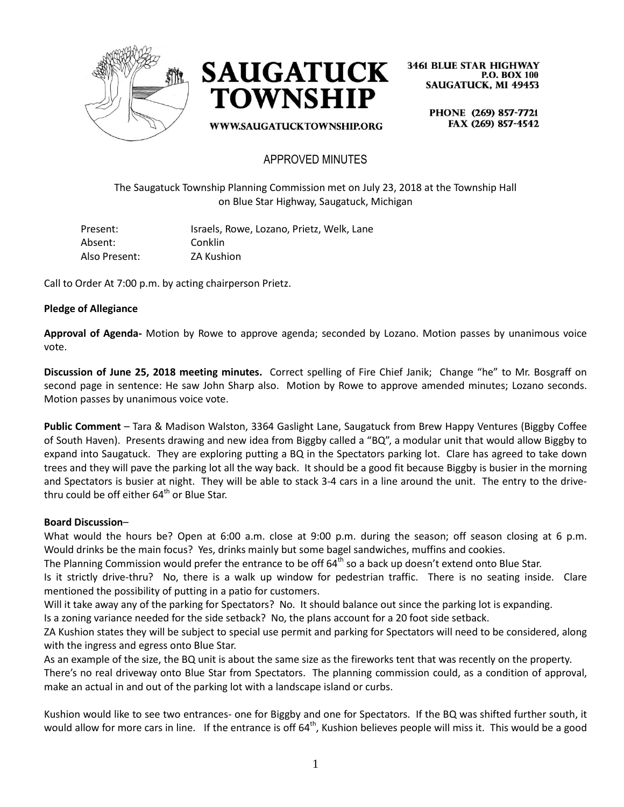



WWW.SAUGATUCKTOWNSHIP.ORG

**3461 BLUE STAR HIGHWAY P.O. BOX 100 SAUGATUCK, MI 49453** 

> PHONE (269) 857-7721 FAX (269) 857-4542

## APPROVED MINUTES

The Saugatuck Township Planning Commission met on July 23, 2018 at the Township Hall on Blue Star Highway, Saugatuck, Michigan

| Present:      | Israels, Rowe, Lozano, Prietz, Welk, Lane |
|---------------|-------------------------------------------|
| Absent:       | Conklin                                   |
| Also Present: | <b>ZA Kushion</b>                         |

Call to Order At 7:00 p.m. by acting chairperson Prietz.

### **Pledge of Allegiance**

**Approval of Agenda-** Motion by Rowe to approve agenda; seconded by Lozano. Motion passes by unanimous voice vote.

**Discussion of June 25, 2018 meeting minutes.** Correct spelling of Fire Chief Janik; Change "he" to Mr. Bosgraff on second page in sentence: He saw John Sharp also. Motion by Rowe to approve amended minutes; Lozano seconds. Motion passes by unanimous voice vote.

**Public Comment** – Tara & Madison Walston, 3364 Gaslight Lane, Saugatuck from Brew Happy Ventures (Biggby Coffee of South Haven). Presents drawing and new idea from Biggby called a "BQ", a modular unit that would allow Biggby to expand into Saugatuck. They are exploring putting a BQ in the Spectators parking lot. Clare has agreed to take down trees and they will pave the parking lot all the way back. It should be a good fit because Biggby is busier in the morning and Spectators is busier at night. They will be able to stack 3-4 cars in a line around the unit. The entry to the drivethru could be off either  $64<sup>th</sup>$  or Blue Star.

#### **Board Discussion**–

What would the hours be? Open at 6:00 a.m. close at 9:00 p.m. during the season; off season closing at 6 p.m. Would drinks be the main focus? Yes, drinks mainly but some bagel sandwiches, muffins and cookies.

The Planning Commission would prefer the entrance to be off  $64<sup>th</sup>$  so a back up doesn't extend onto Blue Star.

Is it strictly drive-thru? No, there is a walk up window for pedestrian traffic. There is no seating inside. Clare mentioned the possibility of putting in a patio for customers.

Will it take away any of the parking for Spectators? No. It should balance out since the parking lot is expanding.

Is a zoning variance needed for the side setback? No, the plans account for a 20 foot side setback.

ZA Kushion states they will be subject to special use permit and parking for Spectators will need to be considered, along with the ingress and egress onto Blue Star.

As an example of the size, the BQ unit is about the same size as the fireworks tent that was recently on the property. There's no real driveway onto Blue Star from Spectators. The planning commission could, as a condition of approval, make an actual in and out of the parking lot with a landscape island or curbs.

Kushion would like to see two entrances- one for Biggby and one for Spectators. If the BQ was shifted further south, it would allow for more cars in line. If the entrance is off 64<sup>th</sup>, Kushion believes people will miss it. This would be a good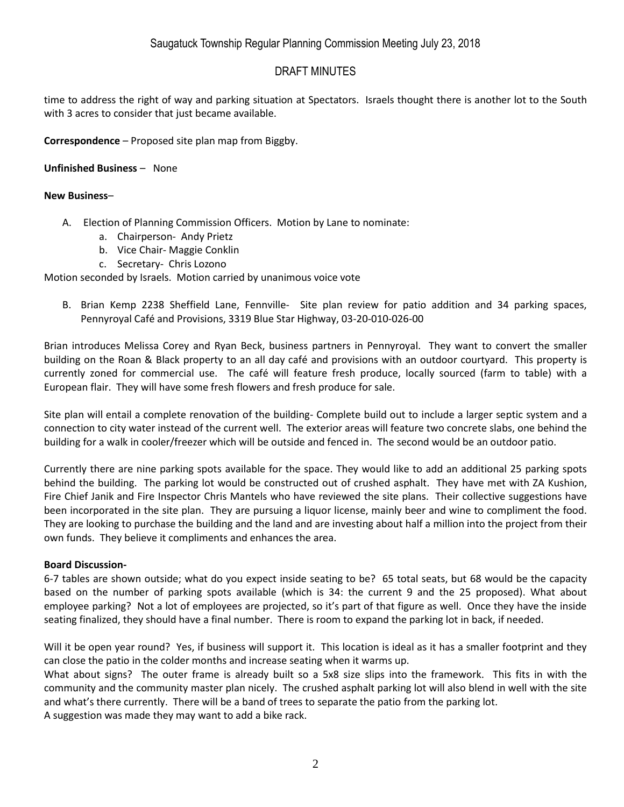## DRAFT MINUTES

time to address the right of way and parking situation at Spectators. Israels thought there is another lot to the South with 3 acres to consider that just became available.

**Correspondence** – Proposed site plan map from Biggby.

**Unfinished Business** – None

### **New Business**–

- A. Election of Planning Commission Officers. Motion by Lane to nominate:
	- a. Chairperson- Andy Prietz
	- b. Vice Chair- Maggie Conklin
	- c. Secretary- Chris Lozono

Motion seconded by Israels. Motion carried by unanimous voice vote

B. Brian Kemp 2238 Sheffield Lane, Fennville- Site plan review for patio addition and 34 parking spaces, Pennyroyal Café and Provisions, 3319 Blue Star Highway, 03-20-010-026-00

Brian introduces Melissa Corey and Ryan Beck, business partners in Pennyroyal. They want to convert the smaller building on the Roan & Black property to an all day café and provisions with an outdoor courtyard. This property is currently zoned for commercial use. The café will feature fresh produce, locally sourced (farm to table) with a European flair. They will have some fresh flowers and fresh produce for sale.

Site plan will entail a complete renovation of the building- Complete build out to include a larger septic system and a connection to city water instead of the current well. The exterior areas will feature two concrete slabs, one behind the building for a walk in cooler/freezer which will be outside and fenced in. The second would be an outdoor patio.

Currently there are nine parking spots available for the space. They would like to add an additional 25 parking spots behind the building. The parking lot would be constructed out of crushed asphalt. They have met with ZA Kushion, Fire Chief Janik and Fire Inspector Chris Mantels who have reviewed the site plans. Their collective suggestions have been incorporated in the site plan. They are pursuing a liquor license, mainly beer and wine to compliment the food. They are looking to purchase the building and the land and are investing about half a million into the project from their own funds. They believe it compliments and enhances the area.

### **Board Discussion-**

6-7 tables are shown outside; what do you expect inside seating to be? 65 total seats, but 68 would be the capacity based on the number of parking spots available (which is 34: the current 9 and the 25 proposed). What about employee parking? Not a lot of employees are projected, so it's part of that figure as well. Once they have the inside seating finalized, they should have a final number. There is room to expand the parking lot in back, if needed.

Will it be open year round? Yes, if business will support it. This location is ideal as it has a smaller footprint and they can close the patio in the colder months and increase seating when it warms up.

What about signs? The outer frame is already built so a 5x8 size slips into the framework. This fits in with the community and the community master plan nicely. The crushed asphalt parking lot will also blend in well with the site and what's there currently. There will be a band of trees to separate the patio from the parking lot.

A suggestion was made they may want to add a bike rack.